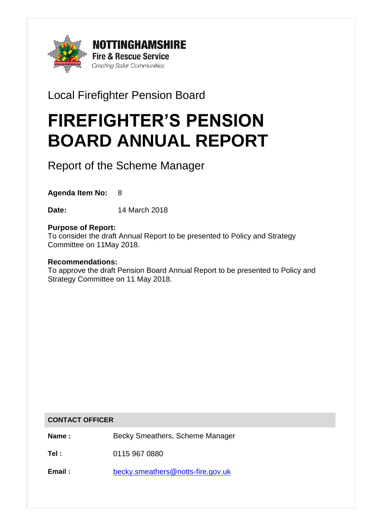

Local Firefighter Pension Board

# FIREFIGHTER'S PENSION BOARD ANNUAL REPORT

Report of the Scheme Manager

**Agenda Item No:** 8

**Date:** 14 March 2018

# **Purpose of Report:**

To consider the draft Annual Report to be presented to Policy and Strategy Committee on 11May 2018.

### **Recommendations:**

To approve the draft Pension Board Annual Report to be presented to Policy and Strategy Committee on 11 May 2018.

#### **CONTACT OFFICER**

**Name :** Becky Smeathers, Scheme Manager

**Tel :** 0115 967 0880

**Email :** [becky.smeathers@notts-fire.gov.uk](mailto:becky.smeathers@notts-fire.gov.uk)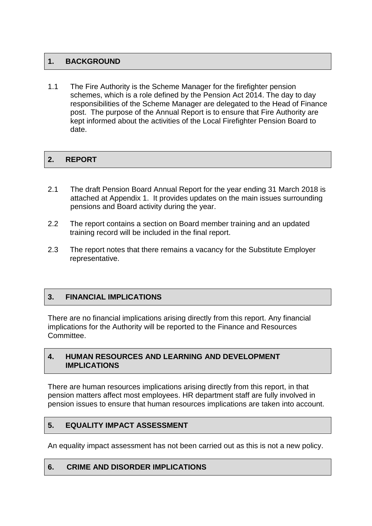# **1. BACKGROUND**

1.1 The Fire Authority is the Scheme Manager for the firefighter pension schemes, which is a role defined by the Pension Act 2014. The day to day responsibilities of the Scheme Manager are delegated to the Head of Finance post. The purpose of the Annual Report is to ensure that Fire Authority are kept informed about the activities of the Local Firefighter Pension Board to date.

# 2. REPORT

- 2.1 The draft Pension Board Annual Report for the year ending 31 March 2018 is attached at Appendix 1. It provides updates on the main issues surrounding pensions and Board activity during the year.
- 2.2 The report contains a section on Board member training and an updated training record will be included in the final report.
- 2.3 The report notes that there remains a vacancy for the Substitute Employer representative.

# **3. FINANCIAL IMPLICATIONS**

There are no financial implications arising directly from this report. Any financial implications for the Authority will be reported to the Finance and Resources Committee.

#### **4. HUMAN RESOURCES AND LEARNING AND DEVELOPMENT IMPLICATIONS**

There are human resources implications arising directly from this report, in that pension matters affect most employees. HR department staff are fully involved in pension issues to ensure that human resources implications are taken into account.

# **5. EQUALITY IMPACT ASSESSMENT**

An equality impact assessment has not been carried out as this is not a new policy.

#### **6. CRIME AND DISORDER IMPLICATIONS**